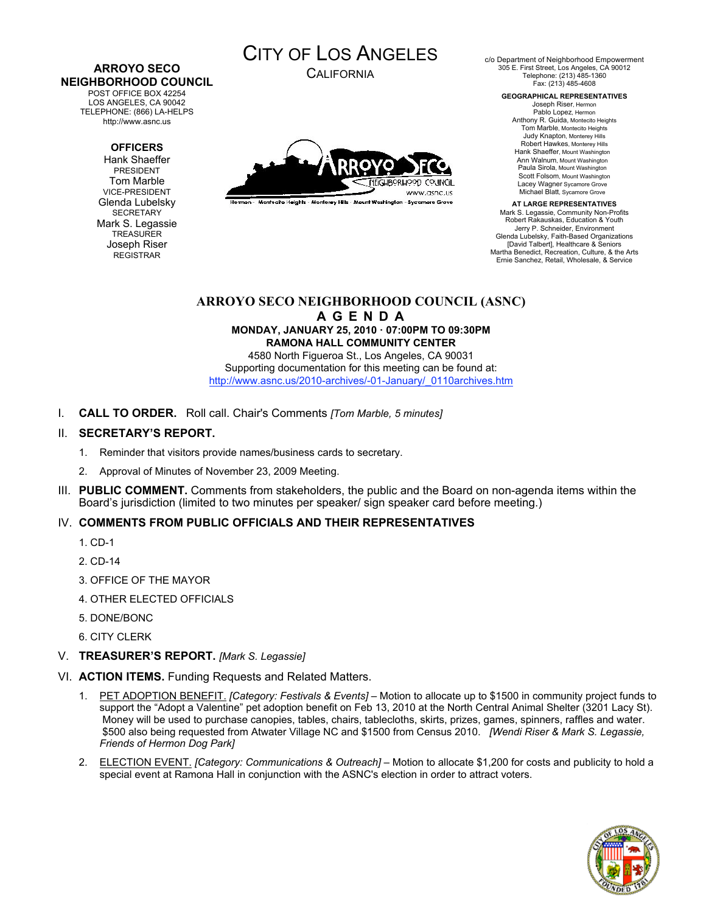# **ARROYO SECO NEIGHBORHOOD COUNCIL**

POST OFFICE BOX 42254 LOS ANGELES, CA 90042 TELEPHONE: (866) LA-HELPS http://www.asnc.us

## **OFFICERS**

Hank Shaeffer PRESIDENT Tom Marble VICE-PRESIDENT Glenda Lubelsky **SECRETARY** Mark S. Legassie **TREASURER** Joseph Riser REGISTRAR



CALIFORNIA



.<br>Hermon - Montecito Helahis - Monterey Hills - Mount Washington - Sycamore Grove

c/o Department of Neighborhood Empowerment 305 E. First Street, Los Angeles, CA 90012 Telephone: (213) 485-1360 Fax: (213) 485-4608

> **GEOGRAPHICAL REPRESENTATIVES** Joseph Riser, Hermon

Pablo Lopez, Hermon Anthony R. Guida, Montecito Heights Tom Marble, Montecito Heights Judy Knapton, Monterey Hills Robert Hawkes, Monterey Hills Hank Shaeffer, Mount Washington Ann Walnum, Mount Washington Paula Sirola, Mount Washington Scott Folsom, Mount Washington Lacey Wagner Sycamore Grove Michael Blatt, Sycamore Grove

**AT LARGE REPRESENTATIVES** Mark S. Legassie, Community Non-Profits Robert Rakauskas, Education & Youth Jerry P. Schneider, Environment Glenda Lubelsky, Faith-Based Organizations [David Talbert], Healthcare & Seniors Martha Benedict, Recreation, Culture, & the Arts Ernie Sanchez, Retail, Wholesale, & Service

# **ARROYO SECO NEIGHBORHOOD COUNCIL (ASNC)**

**A G E N D A MONDAY, JANUARY 25, 2010 · 07:00PM TO 09:30PM RAMONA HALL COMMUNITY CENTER**

4580 North Figueroa St., Los Angeles, CA 90031 Supporting documentation for this meeting can be found at: http://www.asnc.us/2010-archives/-01-January/\_0110archives.htm

I. **CALL TO ORDER.** Roll call. Chair's Comments *[Tom Marble, 5 minutes]*

## II. **SECRETARY'S REPORT.**

- 1. Reminder that visitors provide names/business cards to secretary.
- 2. Approval of Minutes of November 23, 2009 Meeting.
- III. **PUBLIC COMMENT.** Comments from stakeholders, the public and the Board on non-agenda items within the Board's jurisdiction (limited to two minutes per speaker/ sign speaker card before meeting.)

# IV. **COMMENTS FROM PUBLIC OFFICIALS AND THEIR REPRESENTATIVES**

- 1. CD-1
- 2. CD-14
- 3. OFFICE OF THE MAYOR
- 4. OTHER ELECTED OFFICIALS
- 5. DONE/BONC
- 6. CITY CLERK
- V. **TREASURER'S REPORT.** *[Mark S. Legassie]*
- VI. **ACTION ITEMS.** Funding Requests and Related Matters.
	- 1. PET ADOPTION BENEFIT. *[Category: Festivals & Events]* Motion to allocate up to \$1500 in community project funds to support the "Adopt a Valentine" pet adoption benefit on Feb 13, 2010 at the North Central Animal Shelter (3201 Lacy St). Money will be used to purchase canopies, tables, chairs, tablecloths, skirts, prizes, games, spinners, raffles and water. \$500 also being requested from Atwater Village NC and \$1500 from Census 2010. *[Wendi Riser & Mark S. Legassie, Friends of Hermon Dog Park]*
	- 2. ELECTION EVENT. *[Category: Communications & Outreach]* Motion to allocate \$1,200 for costs and publicity to hold a special event at Ramona Hall in conjunction with the ASNC's election in order to attract voters.

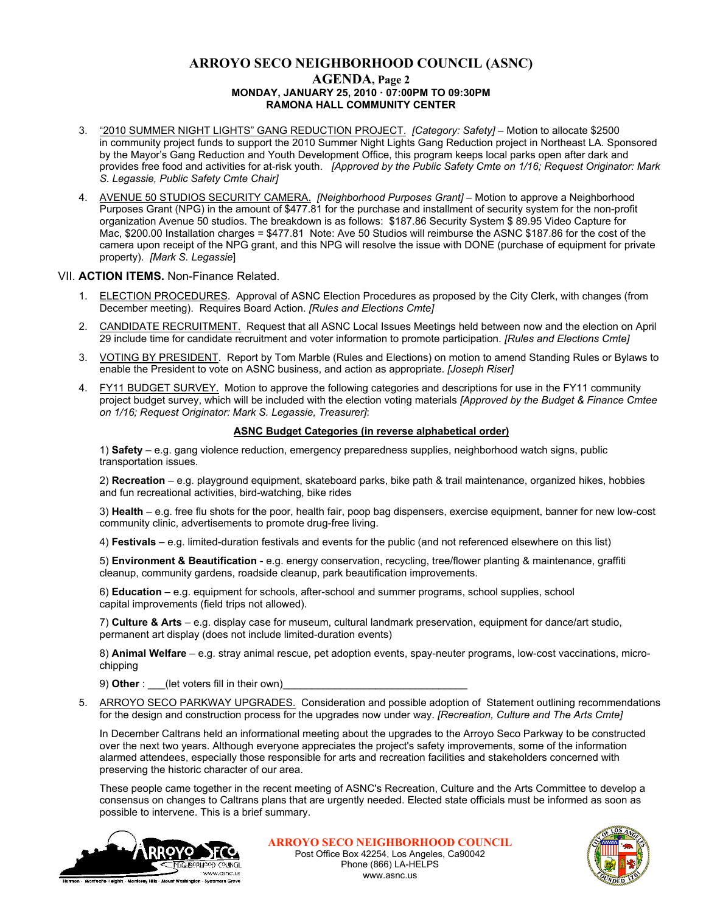## **ARROYO SECO NEIGHBORHOOD COUNCIL (ASNC) AGENDA, Page 2 MONDAY, JANUARY 25, 2010 · 07:00PM TO 09:30PM RAMONA HALL COMMUNITY CENTER**

- 3. "2010 SUMMER NIGHT LIGHTS" GANG REDUCTION PROJECT. *[Category: Safety]* Motion to allocate \$2500 in community project funds to support the 2010 Summer Night Lights Gang Reduction project in Northeast LA. Sponsored by the Mayor's Gang Reduction and Youth Development Office, this program keeps local parks open after dark and provides free food and activities for at-risk youth. *[Approved by the Public Safety Cmte on 1/16; Request Originator: Mark S. Legassie, Public Safety Cmte Chair]*
- 4. AVENUE 50 STUDIOS SECURITY CAMERA. *[Neighborhood Purposes Grant]* Motion to approve a Neighborhood Purposes Grant (NPG) in the amount of \$477.81 for the purchase and installment of security system for the non-profit organization Avenue 50 studios. The breakdown is as follows: \$187.86 Security System \$ 89.95 Video Capture for Mac, \$200.00 Installation charges = \$477.81 Note: Ave 50 Studios will reimburse the ASNC \$187.86 for the cost of the camera upon receipt of the NPG grant, and this NPG will resolve the issue with DONE (purchase of equipment for private property). *[Mark S. Legassie*]

#### VII. **ACTION ITEMS.** Non-Finance Related.

- 1. ELECTION PROCEDURES. Approval of ASNC Election Procedures as proposed by the City Clerk, with changes (from December meeting). Requires Board Action. *[Rules and Elections Cmte]*
- 2. CANDIDATE RECRUITMENT. Request that all ASNC Local Issues Meetings held between now and the election on April 29 include time for candidate recruitment and voter information to promote participation. *[Rules and Elections Cmte]*
- 3. VOTING BY PRESIDENT. Report by Tom Marble (Rules and Elections) on motion to amend Standing Rules or Bylaws to enable the President to vote on ASNC business, and action as appropriate. *[Joseph Riser]*
- 4. FY11 BUDGET SURVEY. Motion to approve the following categories and descriptions for use in the FY11 community project budget survey, which will be included with the election voting materials *[Approved by the Budget & Finance Cmtee on 1/16; Request Originator: Mark S. Legassie, Treasurer]*:

#### **ASNC Budget Categories (in reverse alphabetical order)**

1) **Safety** – e.g. gang violence reduction, emergency preparedness supplies, neighborhood watch signs, public transportation issues.

2) **Recreation** – e.g. playground equipment, skateboard parks, bike path & trail maintenance, organized hikes, hobbies and fun recreational activities, bird-watching, bike rides

3) **Health** – e.g. free flu shots for the poor, health fair, poop bag dispensers, exercise equipment, banner for new low-cost community clinic, advertisements to promote drug-free living.

4) **Festivals** – e.g. limited-duration festivals and events for the public (and not referenced elsewhere on this list)

5) **Environment & Beautification** - e.g. energy conservation, recycling, tree/flower planting & maintenance, graffiti cleanup, community gardens, roadside cleanup, park beautification improvements.

6) **Education** – e.g. equipment for schools, after-school and summer programs, school supplies, school capital improvements (field trips not allowed).

7) **Culture & Arts** – e.g. display case for museum, cultural landmark preservation, equipment for dance/art studio, permanent art display (does not include limited-duration events)

8) **Animal Welfare** – e.g. stray animal rescue, pet adoption events, spay-neuter programs, low-cost vaccinations, microchipping

9) **Other** : (let voters fill in their own)

5. ARROYO SECO PARKWAY UPGRADES. Consideration and possible adoption of Statement outlining recommendations for the design and construction process for the upgrades now under way. *[Recreation, Culture and The Arts Cmte]*

In December Caltrans held an informational meeting about the upgrades to the Arroyo Seco Parkway to be constructed over the next two years. Although everyone appreciates the project's safety improvements, some of the information alarmed attendees, especially those responsible for arts and recreation facilities and stakeholders concerned with preserving the historic character of our area.

These people came together in the recent meeting of ASNC's Recreation, Culture and the Arts Committee to develop a consensus on changes to Caltrans plans that are urgently needed. Elected state officials must be informed as soon as possible to intervene. This is a brief summary.



**ARROYO SECO NEIGHBORHOOD COUNCIL** Post Office Box 42254, Los Angeles, Ca90042 Phone (866) LA-HELPS www.asnc.us

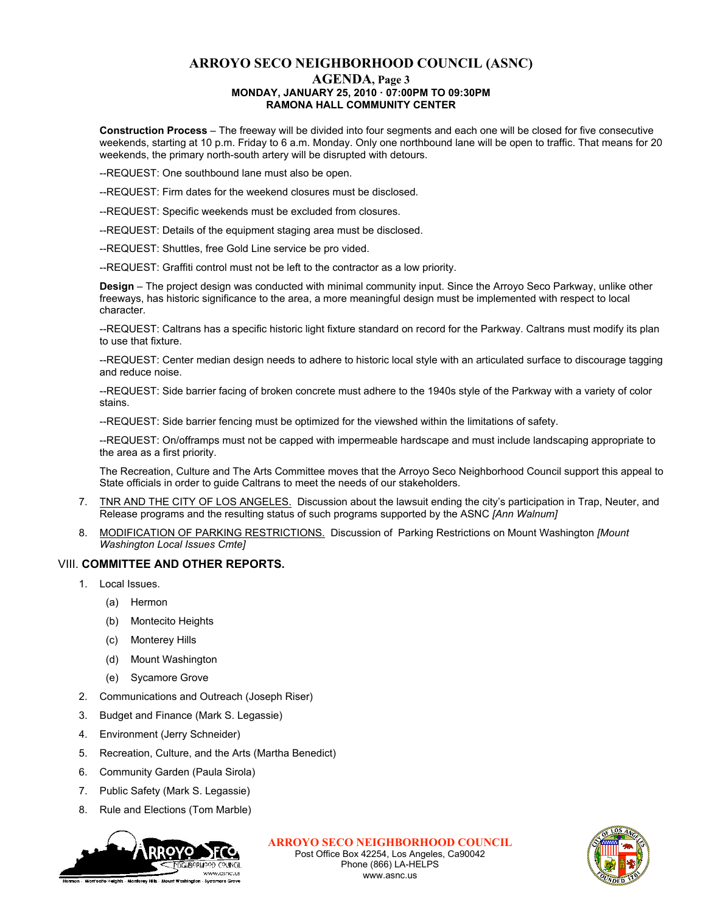# **ARROYO SECO NEIGHBORHOOD COUNCIL (ASNC)**

#### **AGENDA, Page 3 MONDAY, JANUARY 25, 2010 · 07:00PM TO 09:30PM RAMONA HALL COMMUNITY CENTER**

**Construction Process** – The freeway will be divided into four segments and each one will be closed for five consecutive weekends, starting at 10 p.m. Friday to 6 a.m. Monday. Only one northbound lane will be open to traffic. That means for 20 weekends, the primary north-south artery will be disrupted with detours.

--REQUEST: One southbound lane must also be open.

--REQUEST: Firm dates for the weekend closures must be disclosed.

--REQUEST: Specific weekends must be excluded from closures.

--REQUEST: Details of the equipment staging area must be disclosed.

--REQUEST: Shuttles, free Gold Line service be pro vided.

--REQUEST: Graffiti control must not be left to the contractor as a low priority.

**Design** – The project design was conducted with minimal community input. Since the Arroyo Seco Parkway, unlike other freeways, has historic significance to the area, a more meaningful design must be implemented with respect to local character.

--REQUEST: Caltrans has a specific historic light fixture standard on record for the Parkway. Caltrans must modify its plan to use that fixture.

--REQUEST: Center median design needs to adhere to historic local style with an articulated surface to discourage tagging and reduce noise.

--REQUEST: Side barrier facing of broken concrete must adhere to the 1940s style of the Parkway with a variety of color stains.

--REQUEST: Side barrier fencing must be optimized for the viewshed within the limitations of safety.

--REQUEST: On/offramps must not be capped with impermeable hardscape and must include landscaping appropriate to the area as a first priority.

The Recreation, Culture and The Arts Committee moves that the Arroyo Seco Neighborhood Council support this appeal to State officials in order to guide Caltrans to meet the needs of our stakeholders.

- 7. TNR AND THE CITY OF LOS ANGELES. Discussion about the lawsuit ending the city's participation in Trap, Neuter, and Release programs and the resulting status of such programs supported by the ASNC *[Ann Walnum]*
- 8. MODIFICATION OF PARKING RESTRICTIONS. Discussion of Parking Restrictions on Mount Washington *[Mount Washington Local Issues Cmte]*

#### VIII. **COMMITTEE AND OTHER REPORTS.**

- 1. Local Issues.
	- (a) Hermon
	- (b) Montecito Heights
	- (c) Monterey Hills
	- (d) Mount Washington
	- (e) Sycamore Grove
- 2. Communications and Outreach (Joseph Riser)
- 3. Budget and Finance (Mark S. Legassie)
- 4. Environment (Jerry Schneider)
- 5. Recreation, Culture, and the Arts (Martha Benedict)
- 6. Community Garden (Paula Sirola)
- 7. Public Safety (Mark S. Legassie)
- 8. Rule and Elections (Tom Marble)



**ARROYO SECO NEIGHBORHOOD COUNCIL** Post Office Box 42254, Los Angeles, Ca90042 Phone (866) LA-HELPS www.asnc.us